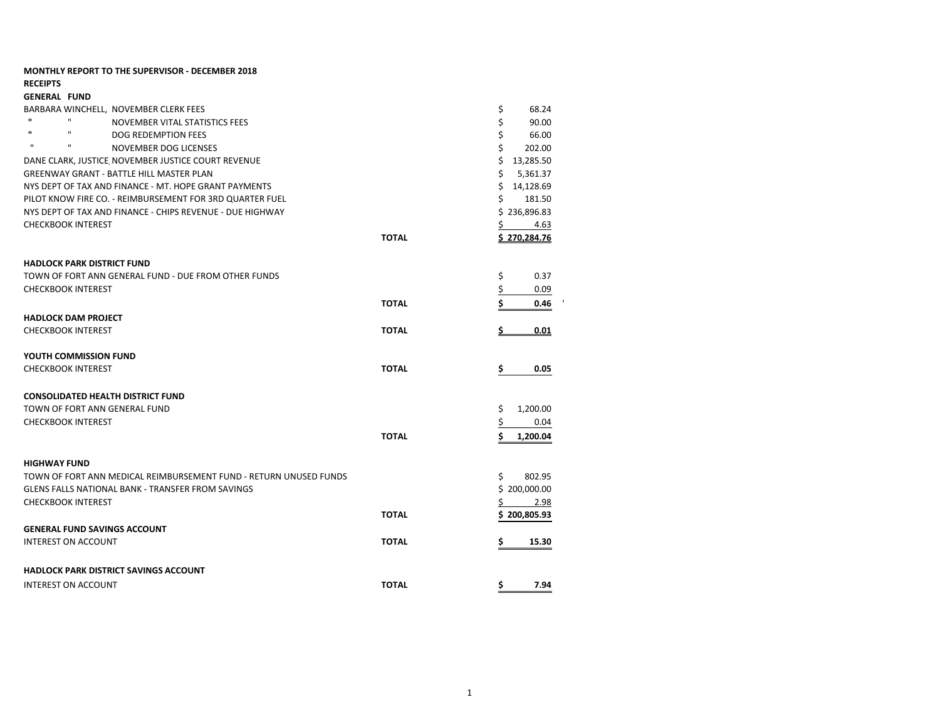| <b>MONTHLY REPORT TO THE SUPERVISOR - DECEMBER 2018</b>           |              |                     |
|-------------------------------------------------------------------|--------------|---------------------|
| <b>RECEIPTS</b><br><b>GENERAL FUND</b>                            |              |                     |
| BARBARA WINCHELL, NOVEMBER CLERK FEES                             |              | \$<br>68.24         |
| $\mathbf{H}$<br>$\mathbf{u}$<br>NOVEMBER VITAL STATISTICS FEES    |              | \$<br>90.00         |
| $\mathbf{H}$<br>$\mathbf{u}$<br>DOG REDEMPTION FEES               |              | \$<br>66.00         |
| $\mathbf{H}$<br>$\mathbf{H}$<br>NOVEMBER DOG LICENSES             |              | \$<br>202.00        |
| DANE CLARK, JUSTICE NOVEMBER JUSTICE COURT REVENUE                |              | Ś.<br>13,285.50     |
| <b>GREENWAY GRANT - BATTLE HILL MASTER PLAN</b>                   |              | Ś.<br>5,361.37      |
| NYS DEPT OF TAX AND FINANCE - MT. HOPE GRANT PAYMENTS             |              | Ś<br>14,128.69      |
| PILOT KNOW FIRE CO. - REIMBURSEMENT FOR 3RD QUARTER FUEL          |              | Ś<br>181.50         |
| NYS DEPT OF TAX AND FINANCE - CHIPS REVENUE - DUE HIGHWAY         |              | \$236,896.83        |
| <b>CHECKBOOK INTEREST</b>                                         |              | \$<br>4.63          |
|                                                                   | <b>TOTAL</b> | <u>\$270,284.76</u> |
| <b>HADLOCK PARK DISTRICT FUND</b>                                 |              |                     |
| TOWN OF FORT ANN GENERAL FUND - DUE FROM OTHER FUNDS              |              | \$<br>0.37          |
| <b>CHECKBOOK INTEREST</b>                                         |              | \$<br>0.09          |
|                                                                   | <b>TOTAL</b> | Ś<br>0.46           |
| <b>HADLOCK DAM PROJECT</b>                                        |              |                     |
| <b>CHECKBOOK INTEREST</b>                                         | <b>TOTAL</b> | 0.01                |
| YOUTH COMMISSION FUND                                             |              |                     |
| <b>CHECKBOOK INTEREST</b>                                         | <b>TOTAL</b> | \$<br>0.05          |
| <b>CONSOLIDATED HEALTH DISTRICT FUND</b>                          |              |                     |
| TOWN OF FORT ANN GENERAL FUND                                     |              | \$<br>1,200.00      |
| <b>CHECKBOOK INTEREST</b>                                         |              | \$<br>0.04          |
|                                                                   | <b>TOTAL</b> | \$<br>1,200.04      |
| <b>HIGHWAY FUND</b>                                               |              |                     |
| TOWN OF FORT ANN MEDICAL REIMBURSEMENT FUND - RETURN UNUSED FUNDS |              | \$<br>802.95        |
| <b>GLENS FALLS NATIONAL BANK - TRANSFER FROM SAVINGS</b>          |              | \$200,000.00        |
| <b>CHECKBOOK INTEREST</b>                                         |              | \$<br>2.98          |
|                                                                   | <b>TOTAL</b> | Ś<br>200,805.93     |
| <b>GENERAL FUND SAVINGS ACCOUNT</b>                               |              |                     |
| <b>INTEREST ON ACCOUNT</b>                                        | <b>TOTAL</b> | \$<br>15.30         |
| <b>HADLOCK PARK DISTRICT SAVINGS ACCOUNT</b>                      |              |                     |
| <b>INTEREST ON ACCOUNT</b>                                        | <b>TOTAL</b> | 7.94<br>Ş           |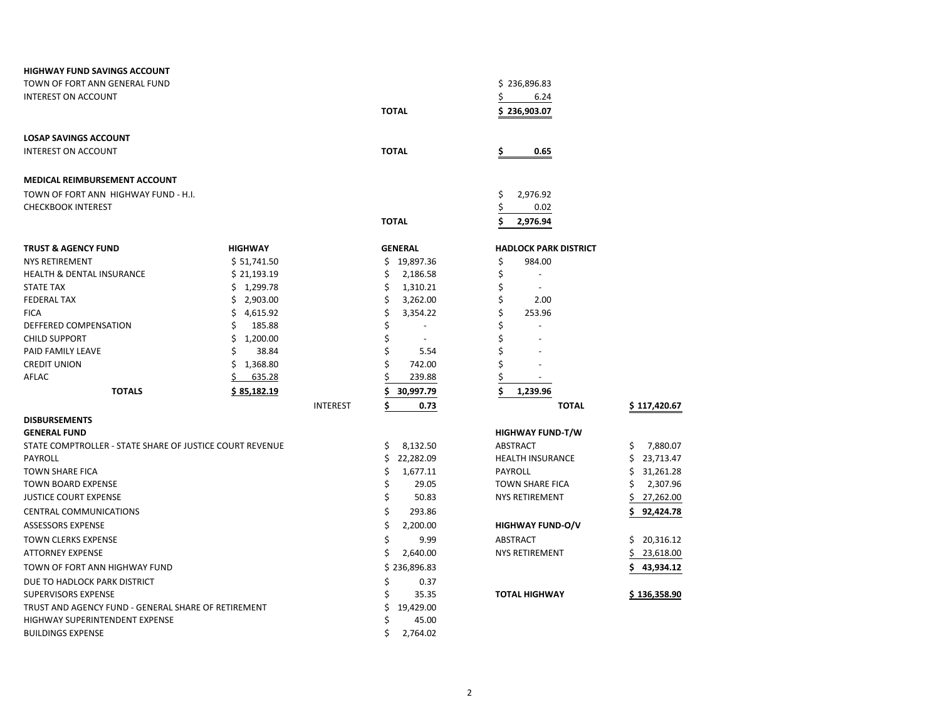| <b>HIGHWAY FUND SAVINGS ACCOUNT</b>                      |                    |                 |                                |                              |                 |
|----------------------------------------------------------|--------------------|-----------------|--------------------------------|------------------------------|-----------------|
| TOWN OF FORT ANN GENERAL FUND                            |                    |                 |                                | \$236,896.83                 |                 |
| <b>INTEREST ON ACCOUNT</b>                               |                    |                 |                                | 6.24<br>\$                   |                 |
|                                                          |                    |                 | <b>TOTAL</b>                   | \$236,903.07                 |                 |
|                                                          |                    |                 |                                |                              |                 |
| <b>LOSAP SAVINGS ACCOUNT</b>                             |                    |                 |                                |                              |                 |
| <b>INTEREST ON ACCOUNT</b>                               |                    |                 | <b>TOTAL</b>                   | \$<br>0.65                   |                 |
| <b>MEDICAL REIMBURSEMENT ACCOUNT</b>                     |                    |                 |                                |                              |                 |
| TOWN OF FORT ANN HIGHWAY FUND - H.I.                     |                    |                 |                                | \$<br>2,976.92               |                 |
| <b>CHECKBOOK INTEREST</b>                                |                    |                 |                                | \$<br>0.02                   |                 |
|                                                          |                    |                 | <b>TOTAL</b>                   | \$<br>2,976.94               |                 |
| <b>TRUST &amp; AGENCY FUND</b>                           | <b>HIGHWAY</b>     |                 | <b>GENERAL</b>                 | <b>HADLOCK PARK DISTRICT</b> |                 |
| <b>NYS RETIREMENT</b>                                    | \$ 51,741.50       |                 | \$19,897.36                    | \$<br>984.00                 |                 |
| <b>HEALTH &amp; DENTAL INSURANCE</b>                     | \$21,193.19        |                 | \$<br>2,186.58                 | \$                           |                 |
| <b>STATE TAX</b>                                         | \$1,299.78         |                 | Ś<br>1,310.21                  | \$                           |                 |
| <b>FEDERAL TAX</b>                                       | \$2,903.00         |                 | 3,262.00<br>\$                 | \$<br>2.00                   |                 |
| <b>FICA</b>                                              | \$<br>4,615.92     |                 | \$<br>3,354.22                 | \$<br>253.96                 |                 |
| DEFFERED COMPENSATION                                    | \$<br>185.88       |                 | Ś<br>$\blacksquare$            | Ś                            |                 |
| <b>CHILD SUPPORT</b>                                     | \$<br>1,200.00     |                 | \$<br>$\overline{\phantom{a}}$ | \$                           |                 |
| PAID FAMILY LEAVE                                        | Ś<br>38.84         |                 | \$<br>5.54                     | \$                           |                 |
| <b>CREDIT UNION</b>                                      | Ś.<br>1,368.80     |                 | 742.00                         | Ś                            |                 |
| AFLAC                                                    | \$<br>635.28       |                 | 239.88                         | \$<br>$\blacksquare$         |                 |
| <b>TOTALS</b>                                            | <u>\$85,182.19</u> |                 | \$.<br>30,997.79               | \$<br>1,239.96               |                 |
|                                                          |                    | <b>INTEREST</b> | \$<br>0.73                     | <b>TOTAL</b>                 | \$117,420.67    |
| <b>DISBURSEMENTS</b>                                     |                    |                 |                                |                              |                 |
| <b>GENERAL FUND</b>                                      |                    |                 |                                | <b>HIGHWAY FUND-T/W</b>      |                 |
| STATE COMPTROLLER - STATE SHARE OF JUSTICE COURT REVENUE |                    |                 | \$<br>8,132.50                 | <b>ABSTRACT</b>              | 7,880.07<br>\$  |
| PAYROLL                                                  |                    |                 | \$<br>22,282.09                | <b>HEALTH INSURANCE</b>      | \$<br>23,713.47 |
| <b>TOWN SHARE FICA</b>                                   |                    |                 | \$<br>1,677.11                 | PAYROLL                      | \$<br>31,261.28 |
| <b>TOWN BOARD EXPENSE</b>                                |                    |                 | \$<br>29.05                    | <b>TOWN SHARE FICA</b>       | 2,307.96<br>\$  |
| <b>JUSTICE COURT EXPENSE</b>                             |                    |                 | \$<br>50.83                    | NYS RETIREMENT               | \$<br>27,262.00 |
| <b>CENTRAL COMMUNICATIONS</b>                            |                    |                 | \$<br>293.86                   |                              | Ś<br>92,424.78  |
| <b>ASSESSORS EXPENSE</b>                                 |                    |                 | \$<br>2,200.00                 | <b>HIGHWAY FUND-O/V</b>      |                 |
| <b>TOWN CLERKS EXPENSE</b>                               |                    |                 | \$<br>9.99                     | ABSTRACT                     | \$<br>20,316.12 |
| <b>ATTORNEY EXPENSE</b>                                  |                    |                 | \$<br>2,640.00                 | <b>NYS RETIREMENT</b>        | \$<br>23,618.00 |
| TOWN OF FORT ANN HIGHWAY FUND                            |                    |                 | \$236,896.83                   |                              | \$<br>43,934.12 |
| DUE TO HADLOCK PARK DISTRICT                             |                    |                 | Ś<br>0.37                      |                              |                 |
| <b>SUPERVISORS EXPENSE</b>                               |                    |                 | \$<br>35.35                    | <b>TOTAL HIGHWAY</b>         | \$136,358.90    |
| TRUST AND AGENCY FUND - GENERAL SHARE OF RETIREMENT      |                    |                 | \$<br>19,429.00                |                              |                 |
| HIGHWAY SUPERINTENDENT EXPENSE                           |                    |                 | Ś<br>45.00                     |                              |                 |
| <b>BUILDINGS EXPENSE</b>                                 |                    |                 | \$<br>2,764.02                 |                              |                 |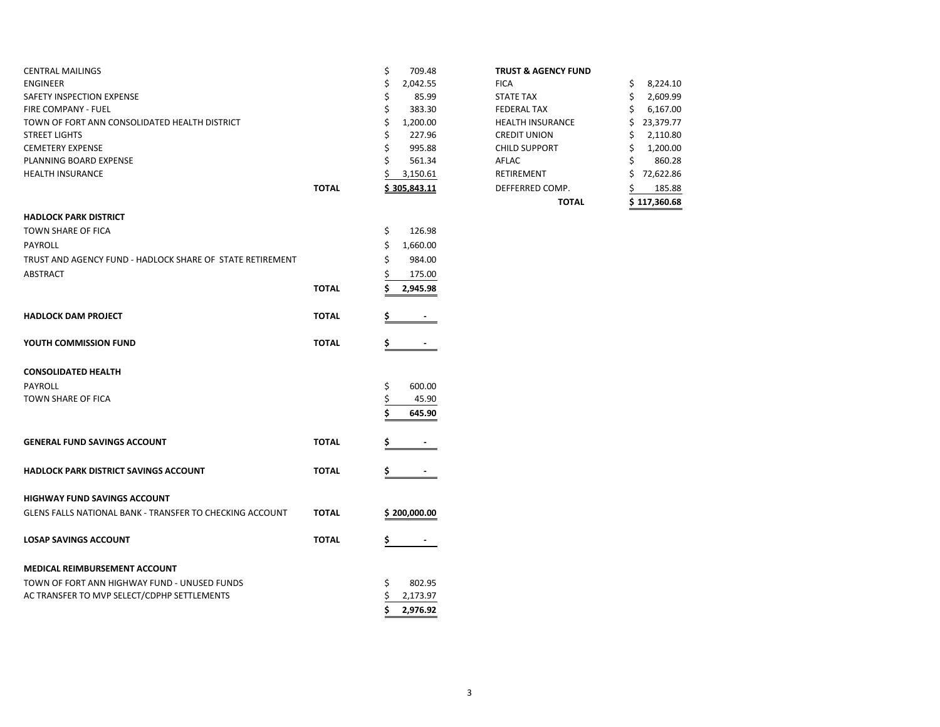| <b>CENTRAL MAILINGS</b>                                   |              | \$<br>709.48        | <b>TRUST &amp; AGENCY FUND</b> |                 |
|-----------------------------------------------------------|--------------|---------------------|--------------------------------|-----------------|
| <b>ENGINEER</b>                                           |              | \$<br>2,042.55      | <b>FICA</b>                    | 8,224.10<br>\$  |
| SAFETY INSPECTION EXPENSE                                 |              | 85.99<br>Ś          | <b>STATE TAX</b>               | 2,609.99<br>\$  |
| FIRE COMPANY - FUEL                                       |              | \$<br>383.30        | <b>FEDERAL TAX</b>             | 6,167.00        |
| TOWN OF FORT ANN CONSOLIDATED HEALTH DISTRICT             |              | Ś<br>1,200.00       | <b>HEALTH INSURANCE</b>        | 23,379.77<br>Ś. |
| <b>STREET LIGHTS</b>                                      |              | 227.96<br>\$        | <b>CREDIT UNION</b>            | 2,110.80        |
| <b>CEMETERY EXPENSE</b>                                   |              | Ś<br>995.88         | <b>CHILD SUPPORT</b>           | 1,200.00<br>\$  |
| PLANNING BOARD EXPENSE                                    |              | 561.34              | AFLAC                          | 860.28          |
| <b>HEALTH INSURANCE</b>                                   |              | 3,150.61            | RETIREMENT                     | 72,622.86<br>\$ |
|                                                           | <b>TOTAL</b> | <u>\$305,843.11</u> | DEFFERRED COMP.                | 185.88<br>S     |
|                                                           |              |                     | <b>TOTAL</b>                   | \$117,360.68    |
| <b>HADLOCK PARK DISTRICT</b>                              |              |                     |                                |                 |
| <b>TOWN SHARE OF FICA</b>                                 |              | \$<br>126.98        |                                |                 |
| <b>PAYROLL</b>                                            |              | \$<br>1,660.00      |                                |                 |
| TRUST AND AGENCY FUND - HADLOCK SHARE OF STATE RETIREMENT |              | 984.00<br>Ś         |                                |                 |
| ABSTRACT                                                  |              | 175.00              |                                |                 |
|                                                           | <b>TOTAL</b> | 2,945.98            |                                |                 |
|                                                           |              |                     |                                |                 |
| <b>HADLOCK DAM PROJECT</b>                                | <b>TOTAL</b> |                     |                                |                 |
| YOUTH COMMISSION FUND                                     | <b>TOTAL</b> |                     |                                |                 |
| <b>CONSOLIDATED HEALTH</b>                                |              |                     |                                |                 |
| <b>PAYROLL</b>                                            |              | 600.00<br>\$        |                                |                 |
| TOWN SHARE OF FICA                                        |              | 45.90               |                                |                 |
|                                                           |              | 645.90              |                                |                 |
|                                                           |              |                     |                                |                 |
| <b>GENERAL FUND SAVINGS ACCOUNT</b>                       | <b>TOTAL</b> |                     |                                |                 |
| <b>HADLOCK PARK DISTRICT SAVINGS ACCOUNT</b>              | <b>TOTAL</b> |                     |                                |                 |
| <b>HIGHWAY FUND SAVINGS ACCOUNT</b>                       |              |                     |                                |                 |
| GLENS FALLS NATIONAL BANK - TRANSFER TO CHECKING ACCOUNT  | <b>TOTAL</b> | \$200,000.00        |                                |                 |
|                                                           |              |                     |                                |                 |
| <b>LOSAP SAVINGS ACCOUNT</b>                              | <b>TOTAL</b> | S                   |                                |                 |
| MEDICAL REIMBURSEMENT ACCOUNT                             |              |                     |                                |                 |
| TOWN OF FORT ANN HIGHWAY FUND - UNUSED FUNDS              |              | 802.95<br>\$        |                                |                 |
| AC TRANSFER TO MVP SELECT/CDPHP SETTLEMENTS               |              | 2,173.97            |                                |                 |
|                                                           |              | 2,976.92<br>Ś       |                                |                 |
|                                                           |              |                     |                                |                 |

## **TRUST & AGENCY FUND**

|       |                | <b>TOTAL</b>            | \$117,360.68    |
|-------|----------------|-------------------------|-----------------|
| ΤΟΤΑL | \$305,843.11   | DEFFERRED COMP.         | 185.88          |
|       | 3,150.61       | <b>RETIREMENT</b>       | \$<br>72,622.86 |
|       | \$<br>561.34   | AFLAC                   | \$<br>860.28    |
|       | \$<br>995.88   | <b>CHILD SUPPORT</b>    | \$<br>1,200.00  |
|       | \$<br>227.96   | <b>CREDIT UNION</b>     | \$<br>2,110.80  |
|       | \$<br>1,200.00 | <b>HEALTH INSURANCE</b> | \$<br>23,379.77 |
|       | \$<br>383.30   | <b>FEDERAL TAX</b>      | \$<br>6,167.00  |
|       | \$<br>85.99    | <b>STATE TAX</b>        | \$<br>2,609.99  |
|       | \$<br>2,042.55 | <b>FICA</b>             | \$<br>8,224.10  |